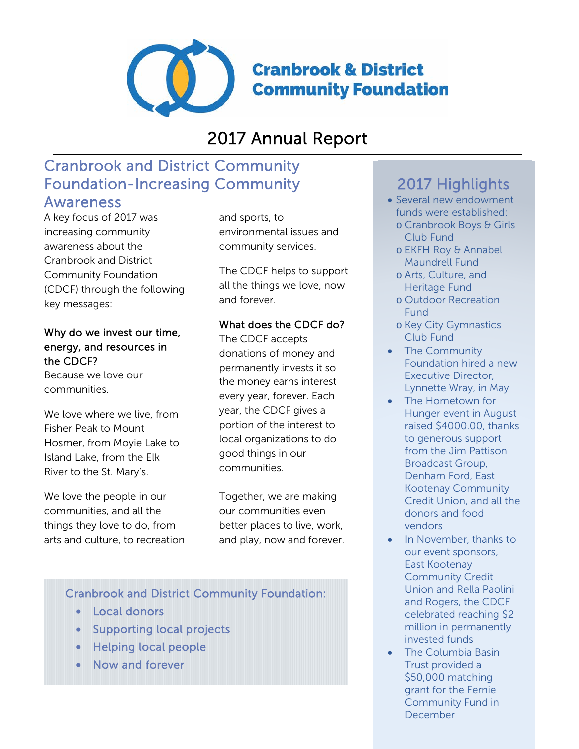

**Cranbrook & District Community Foundation** 

# 2017 Annual Report

# Cranbrook and District Community Foundation-Increasing Community

**Awareness**<br>A key focus of 2017 was increasing community awareness about the Cranbrook and District Community Foundation (CDCF) through the following key messages:

Why do we invest our time, energy, and resources in the CDCF?

Because we love our communities.

We love where we live, from Fisher Peak to Mount Hosmer, from Moyie Lake to Island Lake, from the Elk River to the St. Mary's.

We love the people in our communities, and all the things they love to do, from arts and culture, to recreation and sports, to environmental issues and community services.

The CDCF helps to support all the things we love, now and forever.

#### What does the CDCF do?

The CDCF accepts donations of money and permanently invests it so the money earns interest every year, forever. Each year, the CDCF gives a portion of the interest to local organizations to do good things in our communities.

Together, we are making our communities even better places to live, work, and play, now and forever.

### Cranbrook and District Community Foundation:

- Local donors
- Supporting local projects
- Helping local people
- Now and forever

## 2017 Highlights

- Several new endowment funds were established:
	- o Cranbrook Boys & Girls Club Fund
	- o EKFH Roy & Annabel Maundrell Fund
	- o Arts, Culture, and Heritage Fund
	- o Outdoor Recreation Fund
	- o Key City Gymnastics Club Fund
- The Community Foundation hired a new Executive Director, Lynnette Wray, in May
- The Hometown for Hunger event in August raised \$4000.00, thanks to generous support from the Jim Pattison Broadcast Group, Denham Ford, East Kootenay Community Credit Union, and all the donors and food vendors
- In November, thanks to our event sponsors, East Kootenay Community Credit Union and Rella Paolini and Rogers, the CDCF celebrated reaching \$2 million in permanently invested funds
- The Columbia Basin Trust provided a \$50,000 matching grant for the Fernie Community Fund in December